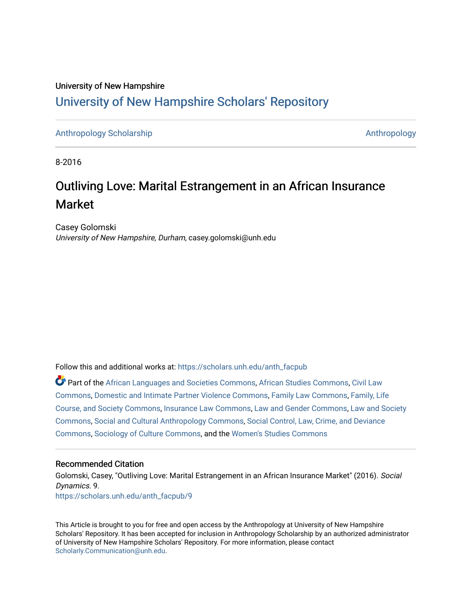# University of New Hampshire [University of New Hampshire Scholars' Repository](https://scholars.unh.edu/)

[Anthropology Scholarship](https://scholars.unh.edu/anth_facpub) [Anthropology](https://scholars.unh.edu/anth) Scholarship Anthropology

8-2016

# Outliving Love: Marital Estrangement in an African Insurance Market

Casey Golomski University of New Hampshire, Durham, casey.golomski@unh.edu

Follow this and additional works at: [https://scholars.unh.edu/anth\\_facpub](https://scholars.unh.edu/anth_facpub?utm_source=scholars.unh.edu%2Fanth_facpub%2F9&utm_medium=PDF&utm_campaign=PDFCoverPages) 

Part of the [African Languages and Societies Commons,](http://network.bepress.com/hgg/discipline/476?utm_source=scholars.unh.edu%2Fanth_facpub%2F9&utm_medium=PDF&utm_campaign=PDFCoverPages) [African Studies Commons](http://network.bepress.com/hgg/discipline/1043?utm_source=scholars.unh.edu%2Fanth_facpub%2F9&utm_medium=PDF&utm_campaign=PDFCoverPages), [Civil Law](http://network.bepress.com/hgg/discipline/835?utm_source=scholars.unh.edu%2Fanth_facpub%2F9&utm_medium=PDF&utm_campaign=PDFCoverPages) [Commons](http://network.bepress.com/hgg/discipline/835?utm_source=scholars.unh.edu%2Fanth_facpub%2F9&utm_medium=PDF&utm_campaign=PDFCoverPages), [Domestic and Intimate Partner Violence Commons,](http://network.bepress.com/hgg/discipline/1309?utm_source=scholars.unh.edu%2Fanth_facpub%2F9&utm_medium=PDF&utm_campaign=PDFCoverPages) [Family Law Commons,](http://network.bepress.com/hgg/discipline/602?utm_source=scholars.unh.edu%2Fanth_facpub%2F9&utm_medium=PDF&utm_campaign=PDFCoverPages) [Family, Life](http://network.bepress.com/hgg/discipline/419?utm_source=scholars.unh.edu%2Fanth_facpub%2F9&utm_medium=PDF&utm_campaign=PDFCoverPages)  [Course, and Society Commons](http://network.bepress.com/hgg/discipline/419?utm_source=scholars.unh.edu%2Fanth_facpub%2F9&utm_medium=PDF&utm_campaign=PDFCoverPages), [Insurance Law Commons,](http://network.bepress.com/hgg/discipline/607?utm_source=scholars.unh.edu%2Fanth_facpub%2F9&utm_medium=PDF&utm_campaign=PDFCoverPages) [Law and Gender Commons,](http://network.bepress.com/hgg/discipline/1298?utm_source=scholars.unh.edu%2Fanth_facpub%2F9&utm_medium=PDF&utm_campaign=PDFCoverPages) [Law and Society](http://network.bepress.com/hgg/discipline/853?utm_source=scholars.unh.edu%2Fanth_facpub%2F9&utm_medium=PDF&utm_campaign=PDFCoverPages) [Commons](http://network.bepress.com/hgg/discipline/853?utm_source=scholars.unh.edu%2Fanth_facpub%2F9&utm_medium=PDF&utm_campaign=PDFCoverPages), [Social and Cultural Anthropology Commons](http://network.bepress.com/hgg/discipline/323?utm_source=scholars.unh.edu%2Fanth_facpub%2F9&utm_medium=PDF&utm_campaign=PDFCoverPages), [Social Control, Law, Crime, and Deviance](http://network.bepress.com/hgg/discipline/429?utm_source=scholars.unh.edu%2Fanth_facpub%2F9&utm_medium=PDF&utm_campaign=PDFCoverPages)  [Commons](http://network.bepress.com/hgg/discipline/429?utm_source=scholars.unh.edu%2Fanth_facpub%2F9&utm_medium=PDF&utm_campaign=PDFCoverPages), [Sociology of Culture Commons,](http://network.bepress.com/hgg/discipline/431?utm_source=scholars.unh.edu%2Fanth_facpub%2F9&utm_medium=PDF&utm_campaign=PDFCoverPages) and the [Women's Studies Commons](http://network.bepress.com/hgg/discipline/561?utm_source=scholars.unh.edu%2Fanth_facpub%2F9&utm_medium=PDF&utm_campaign=PDFCoverPages) 

#### Recommended Citation

Golomski, Casey, "Outliving Love: Marital Estrangement in an African Insurance Market" (2016). Social Dynamics. 9. [https://scholars.unh.edu/anth\\_facpub/9](https://scholars.unh.edu/anth_facpub/9?utm_source=scholars.unh.edu%2Fanth_facpub%2F9&utm_medium=PDF&utm_campaign=PDFCoverPages) 

This Article is brought to you for free and open access by the Anthropology at University of New Hampshire Scholars' Repository. It has been accepted for inclusion in Anthropology Scholarship by an authorized administrator of University of New Hampshire Scholars' Repository. For more information, please contact [Scholarly.Communication@unh.edu](mailto:Scholarly.Communication@unh.edu).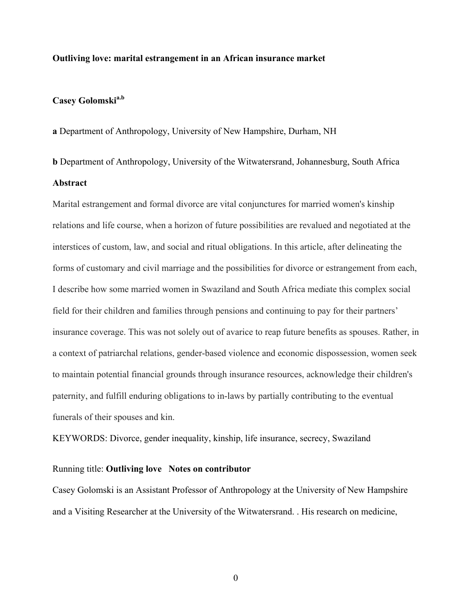#### **Outliving love: marital estrangement in an African insurance market**

# Casey Golomski<sup>a.b</sup>

**a** Department of Anthropology, University of New Hampshire, Durham, NH

**b** Department of Anthropology, University of the Witwatersrand, Johannesburg, South Africa **Abstract**

Marital estrangement and formal divorce are vital conjunctures for married women's kinship relations and life course, when a horizon of future possibilities are revalued and negotiated at the interstices of custom, law, and social and ritual obligations. In this article, after delineating the forms of customary and civil marriage and the possibilities for divorce or estrangement from each, I describe how some married women in Swaziland and South Africa mediate this complex social field for their children and families through pensions and continuing to pay for their partners' insurance coverage. This was not solely out of avarice to reap future benefits as spouses. Rather, in a context of patriarchal relations, gender-based violence and economic dispossession, women seek to maintain potential financial grounds through insurance resources, acknowledge their children's paternity, and fulfill enduring obligations to in-laws by partially contributing to the eventual funerals of their spouses and kin.

KEYWORDS: Divorce, gender inequality, kinship, life insurance, secrecy, Swaziland

## Running title: **Outliving love Notes on contributor**

Casey Golomski is an Assistant Professor of Anthropology at the University of New Hampshire and a Visiting Researcher at the University of the Witwatersrand. . His research on medicine,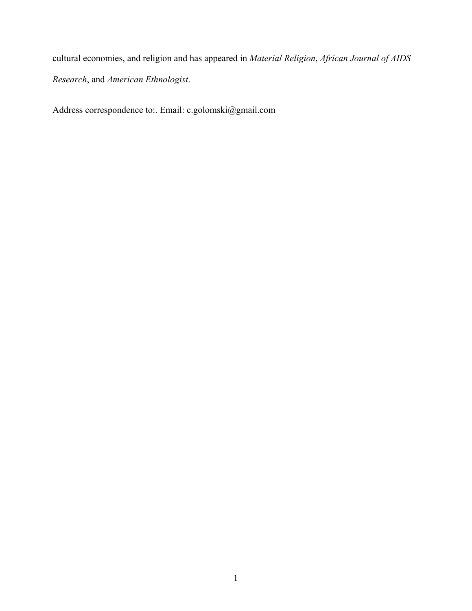cultural economies, and religion and has appeared in *Material Religion*, *African Journal of AIDS Research*, and *American Ethnologist*.

Address correspondence to:. Email: c.golomski@gmail.com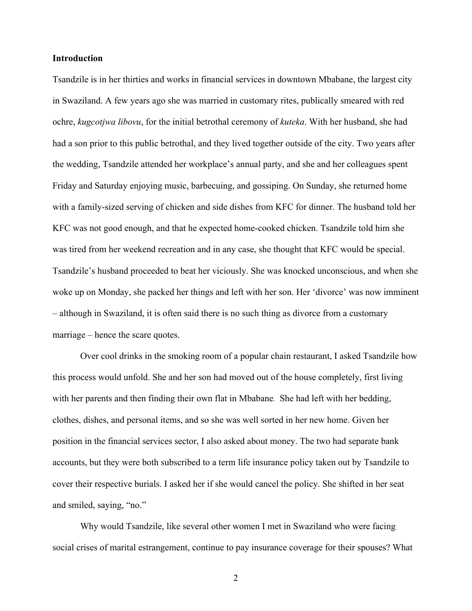## **Introduction**

Tsandzile is in her thirties and works in financial services in downtown Mbabane, the largest city in Swaziland. A few years ago she was married in customary rites, publically smeared with red ochre, *kugcotjwa libovu*, for the initial betrothal ceremony of *kuteka*. With her husband, she had had a son prior to this public betrothal, and they lived together outside of the city. Two years after the wedding, Tsandzile attended her workplace's annual party, and she and her colleagues spent Friday and Saturday enjoying music, barbecuing, and gossiping. On Sunday, she returned home with a family-sized serving of chicken and side dishes from KFC for dinner. The husband told her KFC was not good enough, and that he expected home-cooked chicken. Tsandzile told him she was tired from her weekend recreation and in any case, she thought that KFC would be special. Tsandzile's husband proceeded to beat her viciously. She was knocked unconscious, and when she woke up on Monday, she packed her things and left with her son. Her 'divorce' was now imminent – although in Swaziland, it is often said there is no such thing as divorce from a customary marriage – hence the scare quotes.

Over cool drinks in the smoking room of a popular chain restaurant, I asked Tsandzile how this process would unfold. She and her son had moved out of the house completely, first living with her parents and then finding their own flat in Mbabane. She had left with her bedding, clothes, dishes, and personal items, and so she was well sorted in her new home. Given her position in the financial services sector, I also asked about money. The two had separate bank accounts, but they were both subscribed to a term life insurance policy taken out by Tsandzile to cover their respective burials. I asked her if she would cancel the policy. She shifted in her seat and smiled, saying, "no."

Why would Tsandzile, like several other women I met in Swaziland who were facing social crises of marital estrangement, continue to pay insurance coverage for their spouses? What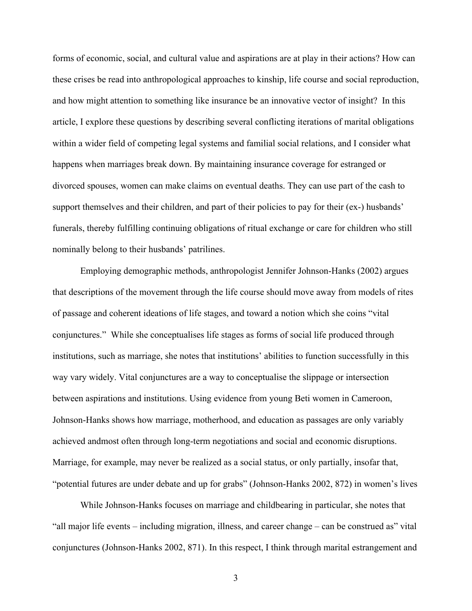forms of economic, social, and cultural value and aspirations are at play in their actions? How can these crises be read into anthropological approaches to kinship, life course and social reproduction, and how might attention to something like insurance be an innovative vector of insight? In this article, I explore these questions by describing several conflicting iterations of marital obligations within a wider field of competing legal systems and familial social relations, and I consider what happens when marriages break down. By maintaining insurance coverage for estranged or divorced spouses, women can make claims on eventual deaths. They can use part of the cash to support themselves and their children, and part of their policies to pay for their (ex-) husbands' funerals, thereby fulfilling continuing obligations of ritual exchange or care for children who still nominally belong to their husbands' patrilines.

Employing demographic methods, anthropologist Jennifer Johnson-Hanks (2002) argues that descriptions of the movement through the life course should move away from models of rites of passage and coherent ideations of life stages, and toward a notion which she coins "vital conjunctures." While she conceptualises life stages as forms of social life produced through institutions, such as marriage, she notes that institutions' abilities to function successfully in this way vary widely. Vital conjunctures are a way to conceptualise the slippage or intersection between aspirations and institutions. Using evidence from young Beti women in Cameroon, Johnson-Hanks shows how marriage, motherhood, and education as passages are only variably achieved andmost often through long-term negotiations and social and economic disruptions. Marriage, for example, may never be realized as a social status, or only partially, insofar that, "potential futures are under debate and up for grabs" (Johnson-Hanks 2002, 872) in women's lives

While Johnson-Hanks focuses on marriage and childbearing in particular, she notes that "all major life events – including migration, illness, and career change – can be construed as" vital conjunctures (Johnson-Hanks 2002, 871). In this respect, I think through marital estrangement and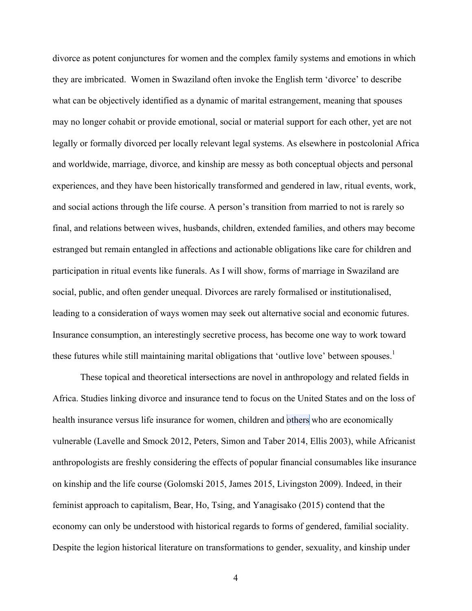divorce as potent conjunctures for women and the complex family systems and emotions in which they are imbricated. Women in Swaziland often invoke the English term 'divorce' to describe what can be objectively identified as a dynamic of marital estrangement, meaning that spouses may no longer cohabit or provide emotional, social or material support for each other, yet are not legally or formally divorced per locally relevant legal systems. As elsewhere in postcolonial Africa and worldwide, marriage, divorce, and kinship are messy as both conceptual objects and personal experiences, and they have been historically transformed and gendered in law, ritual events, work, and social actions through the life course. A person's transition from married to not is rarely so final, and relations between wives, husbands, children, extended families, and others may become estranged but remain entangled in affections and actionable obligations like care for children and participation in ritual events like funerals. As I will show, forms of marriage in Swaziland are social, public, and often gender unequal. Divorces are rarely formalised or institutionalised, leading to a consideration of ways women may seek out alternative social and economic futures. Insurance consumption, an interestingly secretive process, has become one way to work toward these futures while still maintaining marital obligations that 'outlive love' between spouses.<sup>1</sup>

These topical and theoretical intersections are novel in anthropology and related fields in Africa. Studies linking divorce and insurance tend to focus on the United States and on the loss of health insurance versus life insurance for women, children and others who are economically vulnerable (Lavelle and Smock 2012, Peters, Simon and Taber 2014, Ellis 2003), while Africanist anthropologists are freshly considering the effects of popular financial consumables like insurance on kinship and the life course (Golomski 2015, James 2015, Livingston 2009). Indeed, in their feminist approach to capitalism, Bear, Ho, Tsing, and Yanagisako (2015) contend that the economy can only be understood with historical regards to forms of gendered, familial sociality. Despite the legion historical literature on transformations to gender, sexuality, and kinship under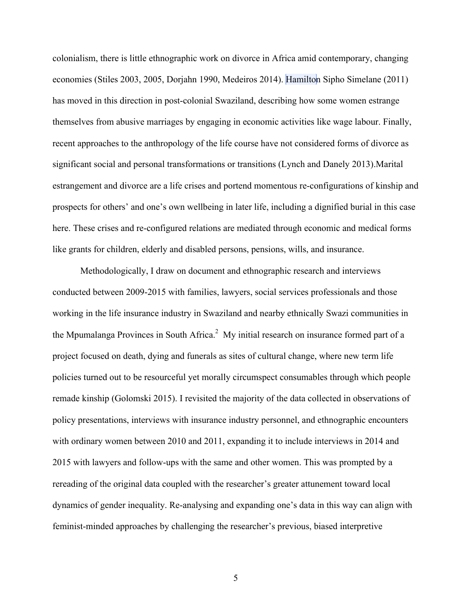colonialism, there is little ethnographic work on divorce in Africa amid contemporary, changing economies (Stiles 2003, 2005, Dorjahn 1990, Medeiros 2014). Hamilton Sipho Simelane (2011) has moved in this direction in post-colonial Swaziland, describing how some women estrange themselves from abusive marriages by engaging in economic activities like wage labour. Finally, recent approaches to the anthropology of the life course have not considered forms of divorce as significant social and personal transformations or transitions (Lynch and Danely 2013).Marital estrangement and divorce are a life crises and portend momentous re-configurations of kinship and prospects for others' and one's own wellbeing in later life, including a dignified burial in this case here. These crises and re-configured relations are mediated through economic and medical forms like grants for children, elderly and disabled persons, pensions, wills, and insurance.

Methodologically, I draw on document and ethnographic research and interviews conducted between 2009-2015 with families, lawyers, social services professionals and those working in the life insurance industry in Swaziland and nearby ethnically Swazi communities in the Mpumalanga Provinces in South Africa.<sup>2</sup> My initial research on insurance formed part of a project focused on death, dying and funerals as sites of cultural change, where new term life policies turned out to be resourceful yet morally circumspect consumables through which people remade kinship (Golomski 2015). I revisited the majority of the data collected in observations of policy presentations, interviews with insurance industry personnel, and ethnographic encounters with ordinary women between 2010 and 2011, expanding it to include interviews in 2014 and 2015 with lawyers and follow-ups with the same and other women. This was prompted by a rereading of the original data coupled with the researcher's greater attunement toward local dynamics of gender inequality. Re-analysing and expanding one's data in this way can align with feminist-minded approaches by challenging the researcher's previous, biased interpretive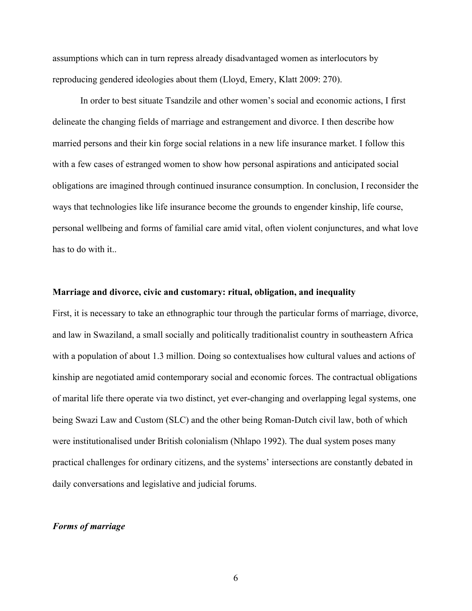assumptions which can in turn repress already disadvantaged women as interlocutors by reproducing gendered ideologies about them (Lloyd, Emery, Klatt 2009: 270).

In order to best situate Tsandzile and other women's social and economic actions, I first delineate the changing fields of marriage and estrangement and divorce. I then describe how married persons and their kin forge social relations in a new life insurance market. I follow this with a few cases of estranged women to show how personal aspirations and anticipated social obligations are imagined through continued insurance consumption. In conclusion, I reconsider the ways that technologies like life insurance become the grounds to engender kinship, life course, personal wellbeing and forms of familial care amid vital, often violent conjunctures, and what love has to do with it..

# **Marriage and divorce, civic and customary: ritual, obligation, and inequality**

First, it is necessary to take an ethnographic tour through the particular forms of marriage, divorce, and law in Swaziland, a small socially and politically traditionalist country in southeastern Africa with a population of about 1.3 million. Doing so contextualises how cultural values and actions of kinship are negotiated amid contemporary social and economic forces. The contractual obligations of marital life there operate via two distinct, yet ever-changing and overlapping legal systems, one being Swazi Law and Custom (SLC) and the other being Roman-Dutch civil law, both of which were institutionalised under British colonialism (Nhlapo 1992). The dual system poses many practical challenges for ordinary citizens, and the systems' intersections are constantly debated in daily conversations and legislative and judicial forums.

# *Forms of marriage*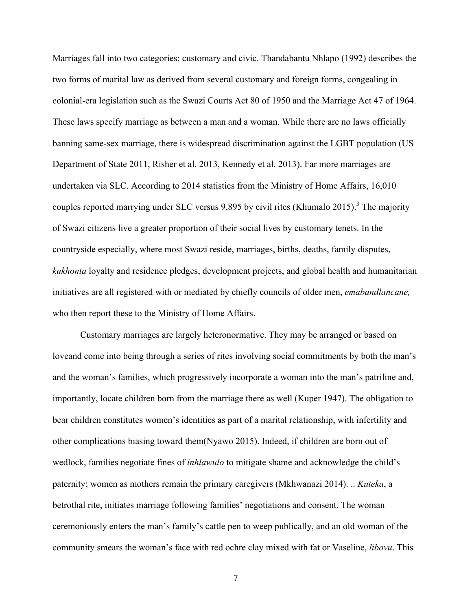Marriages fall into two categories: customary and civic. Thandabantu Nhlapo (1992) describes the two forms of marital law as derived from several customary and foreign forms, congealing in colonial-era legislation such as the Swazi Courts Act 80 of 1950 and the Marriage Act 47 of 1964. These laws specify marriage as between a man and a woman. While there are no laws officially banning same-sex marriage, there is widespread discrimination against the LGBT population (US Department of State 2011, Risher et al. 2013, Kennedy et al. 2013). Far more marriages are undertaken via SLC. According to 2014 statistics from the Ministry of Home Affairs, 16,010 couples reported marrying under SLC versus 9,895 by civil rites (Khumalo 2015).<sup>3</sup> The majority of Swazi citizens live a greater proportion of their social lives by customary tenets. In the countryside especially, where most Swazi reside, marriages, births, deaths, family disputes, *kukhonta* loyalty and residence pledges, development projects, and global health and humanitarian initiatives are all registered with or mediated by chiefly councils of older men, *emabandlancane,* who then report these to the Ministry of Home Affairs.

Customary marriages are largely heteronormative. They may be arranged or based on loveand come into being through a series of rites involving social commitments by both the man's and the woman's families, which progressively incorporate a woman into the man's patriline and, importantly, locate children born from the marriage there as well (Kuper 1947). The obligation to bear children constitutes women's identities as part of a marital relationship, with infertility and other complications biasing toward them(Nyawo 2015). Indeed, if children are born out of wedlock, families negotiate fines of *inhlawulo* to mitigate shame and acknowledge the child's paternity; women as mothers remain the primary caregivers (Mkhwanazi 2014). .. *Kuteka*, a betrothal rite, initiates marriage following families' negotiations and consent. The woman ceremoniously enters the man's family's cattle pen to weep publically, and an old woman of the community smears the woman's face with red ochre clay mixed with fat or Vaseline, *libovu*. This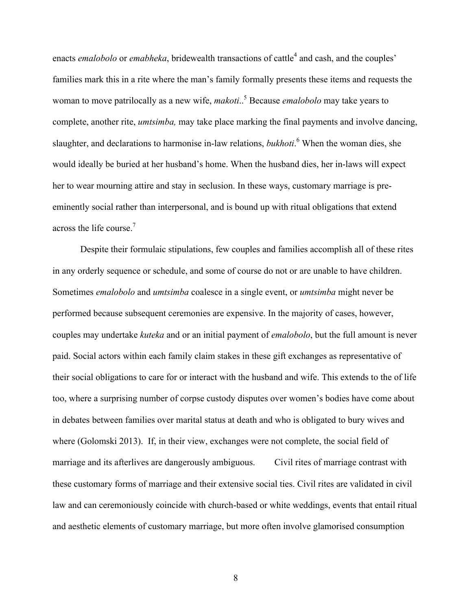enacts *emalobolo* or *emabheka*, bridewealth transactions of cattle<sup>4</sup> and cash, and the couples' families mark this in a rite where the man's family formally presents these items and requests the woman to move patrilocally as a new wife, *makoti*.. 5 Because *emalobolo* may take years to complete, another rite, *umtsimba,* may take place marking the final payments and involve dancing, slaughter, and declarations to harmonise in-law relations, *bukhoti*. 6 When the woman dies, she would ideally be buried at her husband's home. When the husband dies, her in-laws will expect her to wear mourning attire and stay in seclusion. In these ways, customary marriage is preeminently social rather than interpersonal, and is bound up with ritual obligations that extend across the life course. 7

Despite their formulaic stipulations, few couples and families accomplish all of these rites in any orderly sequence or schedule, and some of course do not or are unable to have children. Sometimes *emalobolo* and *umtsimba* coalesce in a single event, or *umtsimba* might never be performed because subsequent ceremonies are expensive. In the majority of cases, however, couples may undertake *kuteka* and or an initial payment of *emalobolo*, but the full amount is never paid. Social actors within each family claim stakes in these gift exchanges as representative of their social obligations to care for or interact with the husband and wife. This extends to the of life too, where a surprising number of corpse custody disputes over women's bodies have come about in debates between families over marital status at death and who is obligated to bury wives and where (Golomski 2013). If, in their view, exchanges were not complete, the social field of marriage and its afterlives are dangerously ambiguous. Civil rites of marriage contrast with these customary forms of marriage and their extensive social ties. Civil rites are validated in civil law and can ceremoniously coincide with church-based or white weddings, events that entail ritual and aesthetic elements of customary marriage, but more often involve glamorised consumption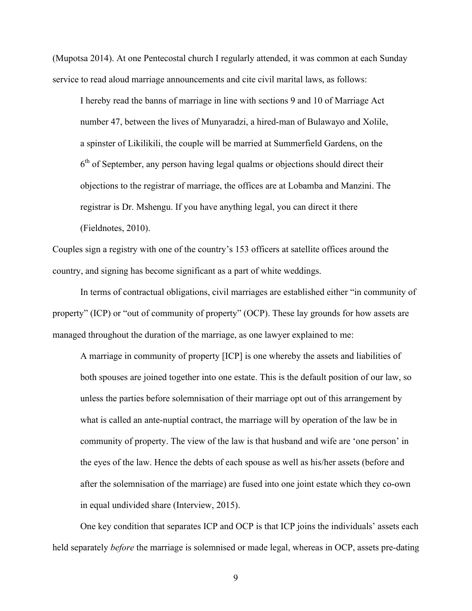(Mupotsa 2014). At one Pentecostal church I regularly attended, it was common at each Sunday service to read aloud marriage announcements and cite civil marital laws, as follows:

I hereby read the banns of marriage in line with sections 9 and 10 of Marriage Act number 47, between the lives of Munyaradzi, a hired-man of Bulawayo and Xolile, a spinster of Likilikili, the couple will be married at Summerfield Gardens, on the  $6<sup>th</sup>$  of September, any person having legal qualms or objections should direct their objections to the registrar of marriage, the offices are at Lobamba and Manzini. The registrar is Dr. Mshengu. If you have anything legal, you can direct it there (Fieldnotes, 2010).

Couples sign a registry with one of the country's 153 officers at satellite offices around the country, and signing has become significant as a part of white weddings.

In terms of contractual obligations, civil marriages are established either "in community of property" (ICP) or "out of community of property" (OCP). These lay grounds for how assets are managed throughout the duration of the marriage, as one lawyer explained to me:

A marriage in community of property [ICP] is one whereby the assets and liabilities of both spouses are joined together into one estate. This is the default position of our law, so unless the parties before solemnisation of their marriage opt out of this arrangement by what is called an ante-nuptial contract, the marriage will by operation of the law be in community of property. The view of the law is that husband and wife are 'one person' in the eyes of the law. Hence the debts of each spouse as well as his/her assets (before and after the solemnisation of the marriage) are fused into one joint estate which they co-own in equal undivided share (Interview, 2015).

One key condition that separates ICP and OCP is that ICP joins the individuals' assets each held separately *before* the marriage is solemnised or made legal, whereas in OCP, assets pre-dating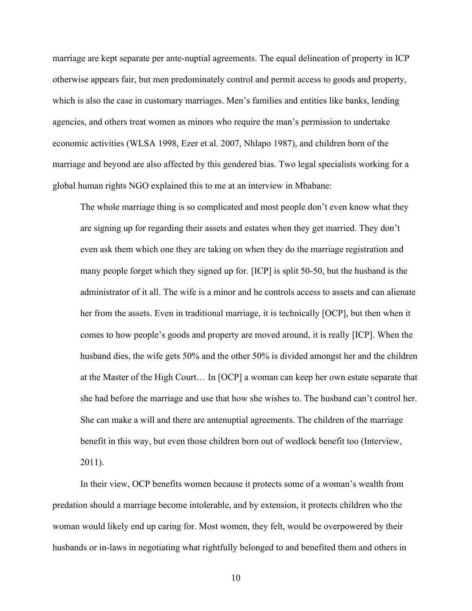marriage are kept separate per ante-nuptial agreements. The equal delineation of property in ICP otherwise appears fair, but men predominately control and permit access to goods and property, which is also the case in customary marriages. Men's families and entities like banks, lending agencies, and others treat women as minors who require the man's permission to undertake economic activities (WLSA 1998, Ezer et al. 2007, Nhlapo 1987), and children born of the marriage and beyond are also affected by this gendered bias. Two legal specialists working for a global human rights NGO explained this to me at an interview in Mbabane:

The whole marriage thing is so complicated and most people don't even know what they are signing up for regarding their assets and estates when they get married. They don't even ask them which one they are taking on when they do the marriage registration and many people forget which they signed up for. [ICP] is split 50-50, but the husband is the administrator of it all. The wife is a minor and he controls access to assets and can alienate her from the assets. Even in traditional marriage, it is technically [OCP], but then when it comes to how people's goods and property are moved around, it is really [ICP]. When the husband dies, the wife gets 50% and the other 50% is divided amongst her and the children at the Master of the High Court… In [OCP] a woman can keep her own estate separate that she had before the marriage and use that how she wishes to. The husband can't control her. She can make a will and there are antenuptial agreements. The children of the marriage benefit in this way, but even those children born out of wedlock benefit too (Interview, 2011).

In their view, OCP benefits women because it protects some of a woman's wealth from predation should a marriage become intolerable, and by extension, it protects children who the woman would likely end up caring for. Most women, they felt, would be overpowered by their husbands or in-laws in negotiating what rightfully belonged to and benefited them and others in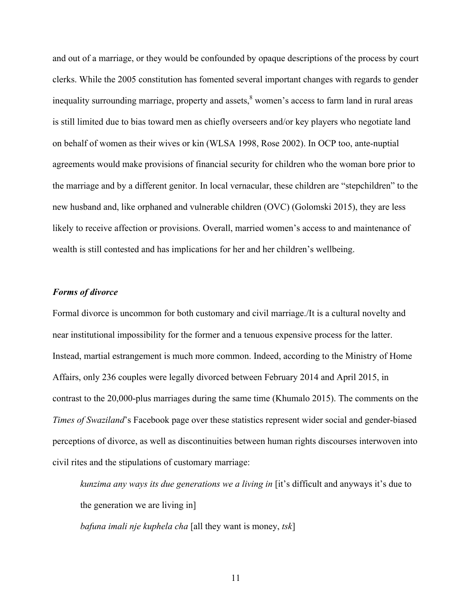and out of a marriage, or they would be confounded by opaque descriptions of the process by court clerks. While the 2005 constitution has fomented several important changes with regards to gender inequality surrounding marriage, property and assets, 8 women's access to farm land in rural areas is still limited due to bias toward men as chiefly overseers and/or key players who negotiate land on behalf of women as their wives or kin (WLSA 1998, Rose 2002). In OCP too, ante-nuptial agreements would make provisions of financial security for children who the woman bore prior to the marriage and by a different genitor. In local vernacular, these children are "stepchildren" to the new husband and, like orphaned and vulnerable children (OVC) (Golomski 2015), they are less likely to receive affection or provisions. Overall, married women's access to and maintenance of wealth is still contested and has implications for her and her children's wellbeing.

# *Forms of divorce*

Formal divorce is uncommon for both customary and civil marriage./It is a cultural novelty and near institutional impossibility for the former and a tenuous expensive process for the latter. Instead, martial estrangement is much more common. Indeed, according to the Ministry of Home Affairs, only 236 couples were legally divorced between February 2014 and April 2015, in contrast to the 20,000-plus marriages during the same time (Khumalo 2015). The comments on the *Times of Swaziland*'s Facebook page over these statistics represent wider social and gender-biased perceptions of divorce, as well as discontinuities between human rights discourses interwoven into civil rites and the stipulations of customary marriage:

*kunzima any ways its due generations we a living in* [it's difficult and anyways it's due to the generation we are living in]

*bafuna imali nje kuphela cha* [all they want is money, *tsk*]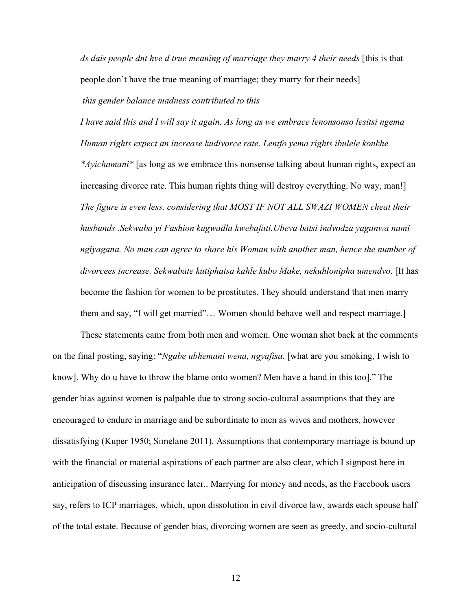*ds dais people dnt hve d true meaning of marriage they marry 4 their needs* [this is that people don't have the true meaning of marriage; they marry for their needs] *this gender balance madness contributed to this*

*I have said this and I will say it again. As long as we embrace lenonsonso lesitsi ngema Human rights expect an increase kudivorce rate. Lentfo yema rights ibulele konkhe \*Ayichamani\** [as long as we embrace this nonsense talking about human rights, expect an increasing divorce rate. This human rights thing will destroy everything. No way, man!] *The figure is even less, considering that MOST IF NOT ALL SWAZI WOMEN cheat their husbands .Sekwaba yi Fashion kugwadla kwebafati.Ubeva batsi indvodza yaganwa nami ngiyagana. No man can agree to share his Woman with another man, hence the number of divorcees increase. Sekwabate kutiphatsa kahle kubo Make, nekuhlonipha umendvo*. [It has become the fashion for women to be prostitutes. They should understand that men marry them and say, "I will get married"… Women should behave well and respect marriage.]

These statements came from both men and women. One woman shot back at the comments on the final posting, saying: "*Ngabe ubhemani wena, ngyafisa*. [what are you smoking, I wish to know]. Why do u have to throw the blame onto women? Men have a hand in this too]." The gender bias against women is palpable due to strong socio-cultural assumptions that they are encouraged to endure in marriage and be subordinate to men as wives and mothers, however dissatisfying (Kuper 1950; Simelane 2011). Assumptions that contemporary marriage is bound up with the financial or material aspirations of each partner are also clear, which I signpost here in anticipation of discussing insurance later.. Marrying for money and needs, as the Facebook users say, refers to ICP marriages, which, upon dissolution in civil divorce law, awards each spouse half of the total estate. Because of gender bias, divorcing women are seen as greedy, and socio-cultural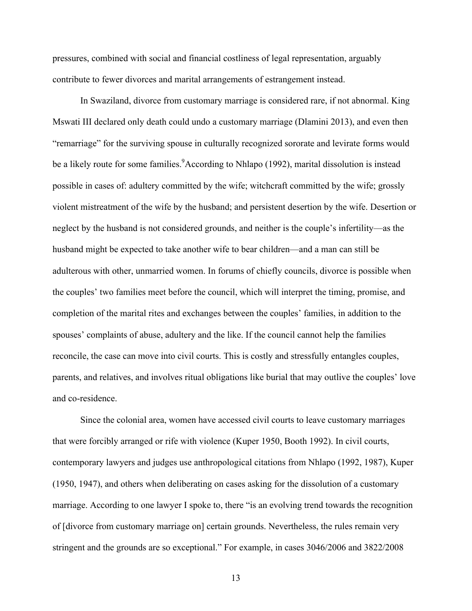pressures, combined with social and financial costliness of legal representation, arguably contribute to fewer divorces and marital arrangements of estrangement instead.

In Swaziland, divorce from customary marriage is considered rare, if not abnormal. King Mswati III declared only death could undo a customary marriage (Dlamini 2013), and even then "remarriage" for the surviving spouse in culturally recognized sororate and levirate forms would be a likely route for some families.<sup>9</sup> According to Nhlapo (1992), marital dissolution is instead possible in cases of: adultery committed by the wife; witchcraft committed by the wife; grossly violent mistreatment of the wife by the husband; and persistent desertion by the wife. Desertion or neglect by the husband is not considered grounds, and neither is the couple's infertility—as the husband might be expected to take another wife to bear children—and a man can still be adulterous with other, unmarried women. In forums of chiefly councils, divorce is possible when the couples' two families meet before the council, which will interpret the timing, promise, and completion of the marital rites and exchanges between the couples' families, in addition to the spouses' complaints of abuse, adultery and the like. If the council cannot help the families reconcile, the case can move into civil courts. This is costly and stressfully entangles couples, parents, and relatives, and involves ritual obligations like burial that may outlive the couples' love and co-residence.

Since the colonial area, women have accessed civil courts to leave customary marriages that were forcibly arranged or rife with violence (Kuper 1950, Booth 1992). In civil courts, contemporary lawyers and judges use anthropological citations from Nhlapo (1992, 1987), Kuper (1950, 1947), and others when deliberating on cases asking for the dissolution of a customary marriage. According to one lawyer I spoke to, there "is an evolving trend towards the recognition of [divorce from customary marriage on] certain grounds. Nevertheless, the rules remain very stringent and the grounds are so exceptional." For example, in cases 3046/2006 and 3822/2008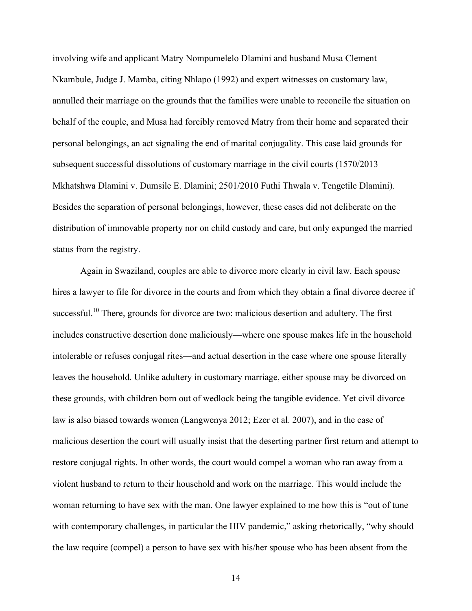involving wife and applicant Matry Nompumelelo Dlamini and husband Musa Clement Nkambule, Judge J. Mamba, citing Nhlapo (1992) and expert witnesses on customary law, annulled their marriage on the grounds that the families were unable to reconcile the situation on behalf of the couple, and Musa had forcibly removed Matry from their home and separated their personal belongings, an act signaling the end of marital conjugality. This case laid grounds for subsequent successful dissolutions of customary marriage in the civil courts (1570/2013 Mkhatshwa Dlamini v. Dumsile E. Dlamini; 2501/2010 Futhi Thwala v. Tengetile Dlamini). Besides the separation of personal belongings, however, these cases did not deliberate on the distribution of immovable property nor on child custody and care, but only expunged the married status from the registry.

Again in Swaziland, couples are able to divorce more clearly in civil law. Each spouse hires a lawyer to file for divorce in the courts and from which they obtain a final divorce decree if successful.<sup>10</sup> There, grounds for divorce are two: malicious desertion and adultery. The first includes constructive desertion done maliciously—where one spouse makes life in the household intolerable or refuses conjugal rites—and actual desertion in the case where one spouse literally leaves the household. Unlike adultery in customary marriage, either spouse may be divorced on these grounds, with children born out of wedlock being the tangible evidence. Yet civil divorce law is also biased towards women (Langwenya 2012; Ezer et al. 2007), and in the case of malicious desertion the court will usually insist that the deserting partner first return and attempt to restore conjugal rights. In other words, the court would compel a woman who ran away from a violent husband to return to their household and work on the marriage. This would include the woman returning to have sex with the man. One lawyer explained to me how this is "out of tune with contemporary challenges, in particular the HIV pandemic," asking rhetorically, "why should the law require (compel) a person to have sex with his/her spouse who has been absent from the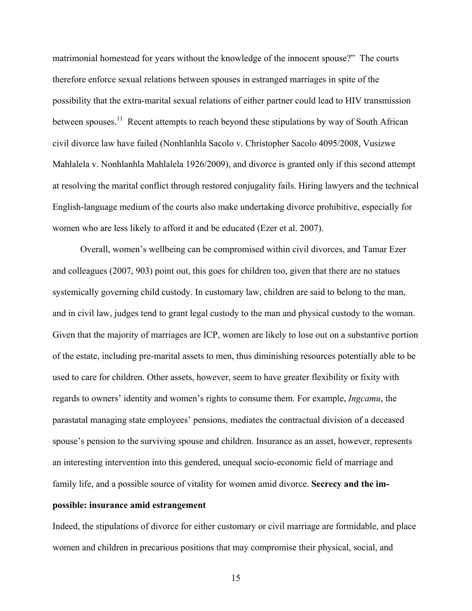matrimonial homestead for years without the knowledge of the innocent spouse?" The courts therefore enforce sexual relations between spouses in estranged marriages in spite of the possibility that the extra-marital sexual relations of either partner could lead to HIV transmission between spouses.<sup>11</sup> Recent attempts to reach beyond these stipulations by way of South African civil divorce law have failed (Nonhlanhla Sacolo v. Christopher Sacolo 4095/2008, Vusizwe Mahlalela v. Nonhlanhla Mahlalela 1926/2009), and divorce is granted only if this second attempt at resolving the marital conflict through restored conjugality fails. Hiring lawyers and the technical English-language medium of the courts also make undertaking divorce prohibitive, especially for women who are less likely to afford it and be educated (Ezer et al. 2007).

Overall, women's wellbeing can be compromised within civil divorces, and Tamar Ezer and colleagues (2007, 903) point out, this goes for children too, given that there are no statues systemically governing child custody. In customary law, children are said to belong to the man, and in civil law, judges tend to grant legal custody to the man and physical custody to the woman. Given that the majority of marriages are ICP, women are likely to lose out on a substantive portion of the estate, including pre-marital assets to men, thus diminishing resources potentially able to be used to care for children. Other assets, however, seem to have greater flexibility or fixity with regards to owners' identity and women's rights to consume them. For example, *Ingcamu*, the parastatal managing state employees' pensions, mediates the contractual division of a deceased spouse's pension to the surviving spouse and children. Insurance as an asset, however, represents an interesting intervention into this gendered, unequal socio-economic field of marriage and family life, and a possible source of vitality for women amid divorce. **Secrecy and the im-**

# **possible: insurance amid estrangement**

Indeed, the stipulations of divorce for either customary or civil marriage are formidable, and place women and children in precarious positions that may compromise their physical, social, and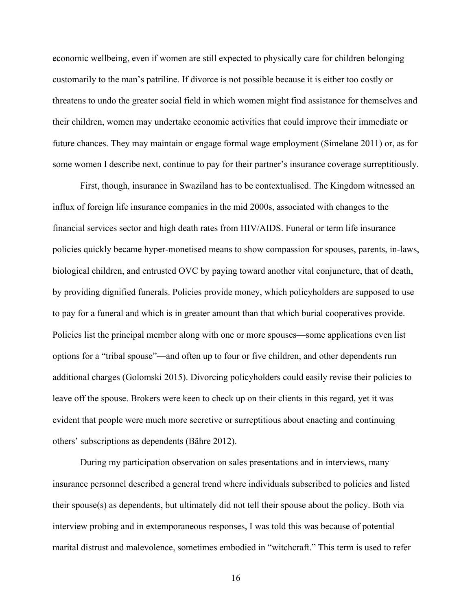economic wellbeing, even if women are still expected to physically care for children belonging customarily to the man's patriline. If divorce is not possible because it is either too costly or threatens to undo the greater social field in which women might find assistance for themselves and their children, women may undertake economic activities that could improve their immediate or future chances. They may maintain or engage formal wage employment (Simelane 2011) or, as for some women I describe next, continue to pay for their partner's insurance coverage surreptitiously.

First, though, insurance in Swaziland has to be contextualised. The Kingdom witnessed an influx of foreign life insurance companies in the mid 2000s, associated with changes to the financial services sector and high death rates from HIV/AIDS. Funeral or term life insurance policies quickly became hyper-monetised means to show compassion for spouses, parents, in-laws, biological children, and entrusted OVC by paying toward another vital conjuncture, that of death, by providing dignified funerals. Policies provide money, which policyholders are supposed to use to pay for a funeral and which is in greater amount than that which burial cooperatives provide. Policies list the principal member along with one or more spouses—some applications even list options for a "tribal spouse"—and often up to four or five children, and other dependents run additional charges (Golomski 2015). Divorcing policyholders could easily revise their policies to leave off the spouse. Brokers were keen to check up on their clients in this regard, yet it was evident that people were much more secretive or surreptitious about enacting and continuing others' subscriptions as dependents (Bähre 2012).

During my participation observation on sales presentations and in interviews, many insurance personnel described a general trend where individuals subscribed to policies and listed their spouse(s) as dependents, but ultimately did not tell their spouse about the policy. Both via interview probing and in extemporaneous responses, I was told this was because of potential marital distrust and malevolence, sometimes embodied in "witchcraft." This term is used to refer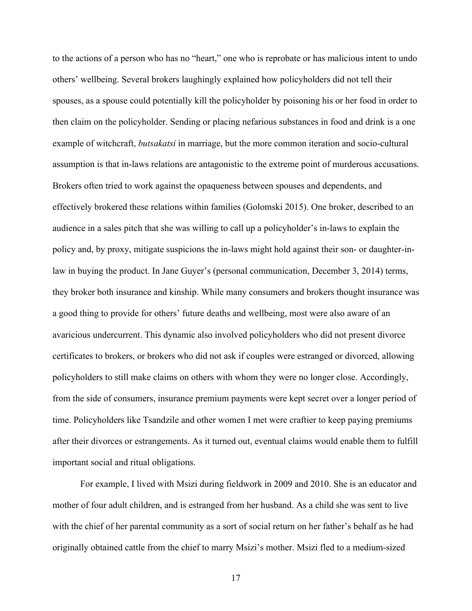to the actions of a person who has no "heart," one who is reprobate or has malicious intent to undo others' wellbeing. Several brokers laughingly explained how policyholders did not tell their spouses, as a spouse could potentially kill the policyholder by poisoning his or her food in order to then claim on the policyholder. Sending or placing nefarious substances in food and drink is a one example of witchcraft, *butsakatsi* in marriage, but the more common iteration and socio-cultural assumption is that in-laws relations are antagonistic to the extreme point of murderous accusations. Brokers often tried to work against the opaqueness between spouses and dependents, and effectively brokered these relations within families (Golomski 2015). One broker, described to an audience in a sales pitch that she was willing to call up a policyholder's in-laws to explain the policy and, by proxy, mitigate suspicions the in-laws might hold against their son- or daughter-inlaw in buying the product. In Jane Guyer's (personal communication, December 3, 2014) terms, they broker both insurance and kinship. While many consumers and brokers thought insurance was a good thing to provide for others' future deaths and wellbeing, most were also aware of an avaricious undercurrent. This dynamic also involved policyholders who did not present divorce certificates to brokers, or brokers who did not ask if couples were estranged or divorced, allowing policyholders to still make claims on others with whom they were no longer close. Accordingly, from the side of consumers, insurance premium payments were kept secret over a longer period of time. Policyholders like Tsandzile and other women I met were craftier to keep paying premiums after their divorces or estrangements. As it turned out, eventual claims would enable them to fulfill important social and ritual obligations.

For example, I lived with Msizi during fieldwork in 2009 and 2010. She is an educator and mother of four adult children, and is estranged from her husband. As a child she was sent to live with the chief of her parental community as a sort of social return on her father's behalf as he had originally obtained cattle from the chief to marry Msizi's mother. Msizi fled to a medium-sized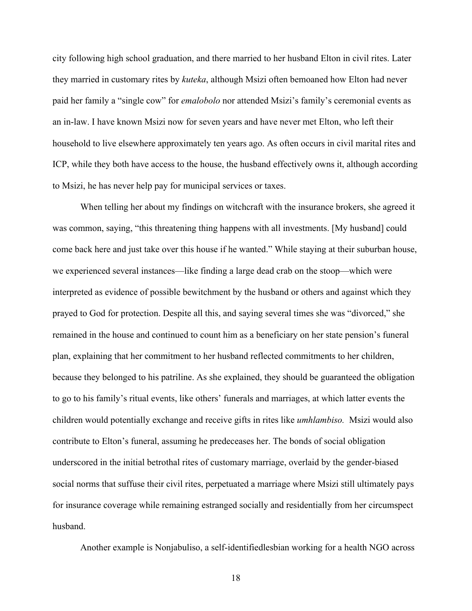city following high school graduation, and there married to her husband Elton in civil rites. Later they married in customary rites by *kuteka*, although Msizi often bemoaned how Elton had never paid her family a "single cow" for *emalobolo* nor attended Msizi's family's ceremonial events as an in-law. I have known Msizi now for seven years and have never met Elton, who left their household to live elsewhere approximately ten years ago. As often occurs in civil marital rites and ICP, while they both have access to the house, the husband effectively owns it, although according to Msizi, he has never help pay for municipal services or taxes.

When telling her about my findings on witchcraft with the insurance brokers, she agreed it was common, saying, "this threatening thing happens with all investments. [My husband] could come back here and just take over this house if he wanted." While staying at their suburban house, we experienced several instances—like finding a large dead crab on the stoop—which were interpreted as evidence of possible bewitchment by the husband or others and against which they prayed to God for protection. Despite all this, and saying several times she was "divorced," she remained in the house and continued to count him as a beneficiary on her state pension's funeral plan, explaining that her commitment to her husband reflected commitments to her children, because they belonged to his patriline. As she explained, they should be guaranteed the obligation to go to his family's ritual events, like others' funerals and marriages, at which latter events the children would potentially exchange and receive gifts in rites like *umhlambiso.* Msizi would also contribute to Elton's funeral, assuming he predeceases her. The bonds of social obligation underscored in the initial betrothal rites of customary marriage, overlaid by the gender-biased social norms that suffuse their civil rites, perpetuated a marriage where Msizi still ultimately pays for insurance coverage while remaining estranged socially and residentially from her circumspect husband.

Another example is Nonjabuliso, a self-identifiedlesbian working for a health NGO across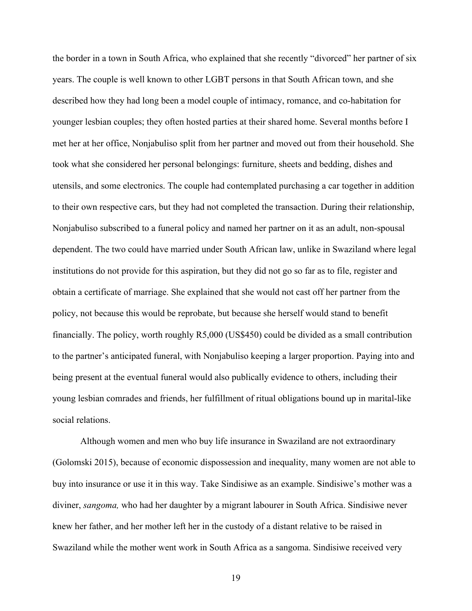the border in a town in South Africa, who explained that she recently "divorced" her partner of six years. The couple is well known to other LGBT persons in that South African town, and she described how they had long been a model couple of intimacy, romance, and co-habitation for younger lesbian couples; they often hosted parties at their shared home. Several months before I met her at her office, Nonjabuliso split from her partner and moved out from their household. She took what she considered her personal belongings: furniture, sheets and bedding, dishes and utensils, and some electronics. The couple had contemplated purchasing a car together in addition to their own respective cars, but they had not completed the transaction. During their relationship, Nonjabuliso subscribed to a funeral policy and named her partner on it as an adult, non-spousal dependent. The two could have married under South African law, unlike in Swaziland where legal institutions do not provide for this aspiration, but they did not go so far as to file, register and obtain a certificate of marriage. She explained that she would not cast off her partner from the policy, not because this would be reprobate, but because she herself would stand to benefit financially. The policy, worth roughly R5,000 (US\$450) could be divided as a small contribution to the partner's anticipated funeral, with Nonjabuliso keeping a larger proportion. Paying into and being present at the eventual funeral would also publically evidence to others, including their young lesbian comrades and friends, her fulfillment of ritual obligations bound up in marital-like social relations.

Although women and men who buy life insurance in Swaziland are not extraordinary (Golomski 2015), because of economic dispossession and inequality, many women are not able to buy into insurance or use it in this way. Take Sindisiwe as an example. Sindisiwe's mother was a diviner, *sangoma,* who had her daughter by a migrant labourer in South Africa. Sindisiwe never knew her father, and her mother left her in the custody of a distant relative to be raised in Swaziland while the mother went work in South Africa as a sangoma. Sindisiwe received very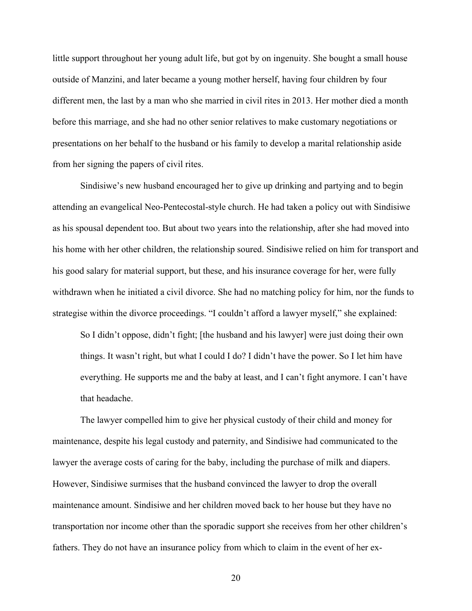little support throughout her young adult life, but got by on ingenuity. She bought a small house outside of Manzini, and later became a young mother herself, having four children by four different men, the last by a man who she married in civil rites in 2013. Her mother died a month before this marriage, and she had no other senior relatives to make customary negotiations or presentations on her behalf to the husband or his family to develop a marital relationship aside from her signing the papers of civil rites.

Sindisiwe's new husband encouraged her to give up drinking and partying and to begin attending an evangelical Neo-Pentecostal-style church. He had taken a policy out with Sindisiwe as his spousal dependent too. But about two years into the relationship, after she had moved into his home with her other children, the relationship soured. Sindisiwe relied on him for transport and his good salary for material support, but these, and his insurance coverage for her, were fully withdrawn when he initiated a civil divorce. She had no matching policy for him, nor the funds to strategise within the divorce proceedings. "I couldn't afford a lawyer myself," she explained:

So I didn't oppose, didn't fight; [the husband and his lawyer] were just doing their own things. It wasn't right, but what I could I do? I didn't have the power. So I let him have everything. He supports me and the baby at least, and I can't fight anymore. I can't have that headache.

The lawyer compelled him to give her physical custody of their child and money for maintenance, despite his legal custody and paternity, and Sindisiwe had communicated to the lawyer the average costs of caring for the baby, including the purchase of milk and diapers. However, Sindisiwe surmises that the husband convinced the lawyer to drop the overall maintenance amount. Sindisiwe and her children moved back to her house but they have no transportation nor income other than the sporadic support she receives from her other children's fathers. They do not have an insurance policy from which to claim in the event of her ex-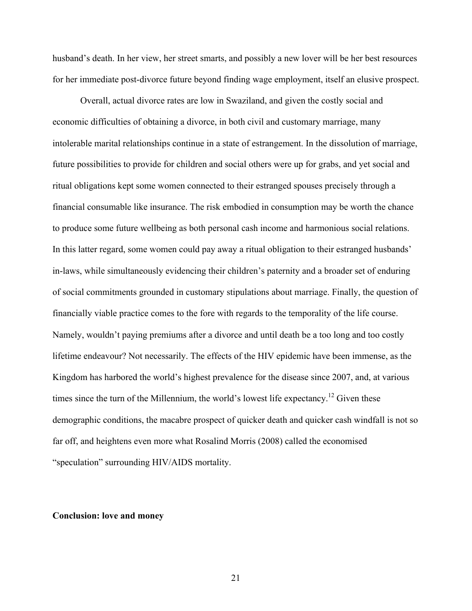husband's death. In her view, her street smarts, and possibly a new lover will be her best resources for her immediate post-divorce future beyond finding wage employment, itself an elusive prospect.

Overall, actual divorce rates are low in Swaziland, and given the costly social and economic difficulties of obtaining a divorce, in both civil and customary marriage, many intolerable marital relationships continue in a state of estrangement. In the dissolution of marriage, future possibilities to provide for children and social others were up for grabs, and yet social and ritual obligations kept some women connected to their estranged spouses precisely through a financial consumable like insurance. The risk embodied in consumption may be worth the chance to produce some future wellbeing as both personal cash income and harmonious social relations. In this latter regard, some women could pay away a ritual obligation to their estranged husbands' in-laws, while simultaneously evidencing their children's paternity and a broader set of enduring of social commitments grounded in customary stipulations about marriage. Finally, the question of financially viable practice comes to the fore with regards to the temporality of the life course. Namely, wouldn't paying premiums after a divorce and until death be a too long and too costly lifetime endeavour? Not necessarily. The effects of the HIV epidemic have been immense, as the Kingdom has harbored the world's highest prevalence for the disease since 2007, and, at various times since the turn of the Millennium, the world's lowest life expectancy.<sup>12</sup> Given these demographic conditions, the macabre prospect of quicker death and quicker cash windfall is not so far off, and heightens even more what Rosalind Morris (2008) called the economised "speculation" surrounding HIV/AIDS mortality.

## **Conclusion: love and money**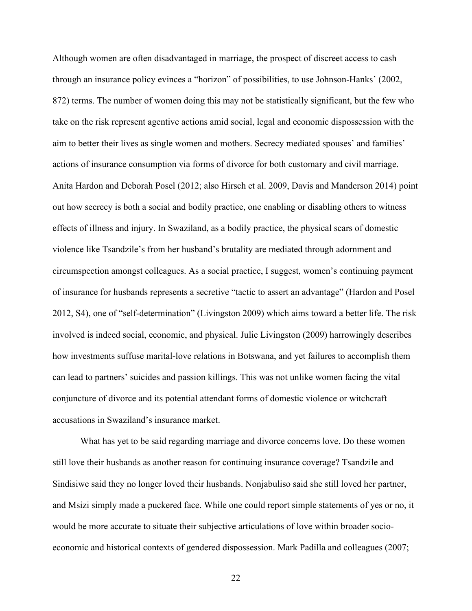Although women are often disadvantaged in marriage, the prospect of discreet access to cash through an insurance policy evinces a "horizon" of possibilities, to use Johnson-Hanks' (2002, 872) terms. The number of women doing this may not be statistically significant, but the few who take on the risk represent agentive actions amid social, legal and economic dispossession with the aim to better their lives as single women and mothers. Secrecy mediated spouses' and families' actions of insurance consumption via forms of divorce for both customary and civil marriage. Anita Hardon and Deborah Posel (2012; also Hirsch et al. 2009, Davis and Manderson 2014) point out how secrecy is both a social and bodily practice, one enabling or disabling others to witness effects of illness and injury. In Swaziland, as a bodily practice, the physical scars of domestic violence like Tsandzile's from her husband's brutality are mediated through adornment and circumspection amongst colleagues. As a social practice, I suggest, women's continuing payment of insurance for husbands represents a secretive "tactic to assert an advantage" (Hardon and Posel 2012, S4), one of "self-determination" (Livingston 2009) which aims toward a better life. The risk involved is indeed social, economic, and physical. Julie Livingston (2009) harrowingly describes how investments suffuse marital-love relations in Botswana, and yet failures to accomplish them can lead to partners' suicides and passion killings. This was not unlike women facing the vital conjuncture of divorce and its potential attendant forms of domestic violence or witchcraft accusations in Swaziland's insurance market.

What has yet to be said regarding marriage and divorce concerns love. Do these women still love their husbands as another reason for continuing insurance coverage? Tsandzile and Sindisiwe said they no longer loved their husbands. Nonjabuliso said she still loved her partner, and Msizi simply made a puckered face. While one could report simple statements of yes or no, it would be more accurate to situate their subjective articulations of love within broader socioeconomic and historical contexts of gendered dispossession. Mark Padilla and colleagues (2007;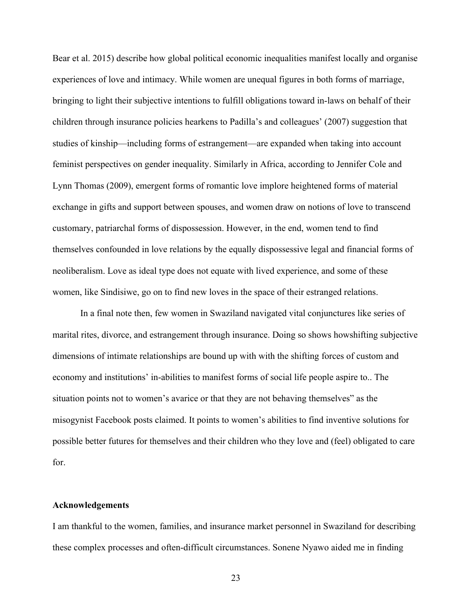Bear et al. 2015) describe how global political economic inequalities manifest locally and organise experiences of love and intimacy. While women are unequal figures in both forms of marriage, bringing to light their subjective intentions to fulfill obligations toward in-laws on behalf of their children through insurance policies hearkens to Padilla's and colleagues' (2007) suggestion that studies of kinship—including forms of estrangement—are expanded when taking into account feminist perspectives on gender inequality. Similarly in Africa, according to Jennifer Cole and Lynn Thomas (2009), emergent forms of romantic love implore heightened forms of material exchange in gifts and support between spouses, and women draw on notions of love to transcend customary, patriarchal forms of dispossession. However, in the end, women tend to find themselves confounded in love relations by the equally dispossessive legal and financial forms of neoliberalism. Love as ideal type does not equate with lived experience, and some of these women, like Sindisiwe, go on to find new loves in the space of their estranged relations.

In a final note then, few women in Swaziland navigated vital conjunctures like series of marital rites, divorce, and estrangement through insurance. Doing so shows howshifting subjective dimensions of intimate relationships are bound up with with the shifting forces of custom and economy and institutions' in-abilities to manifest forms of social life people aspire to.. The situation points not to women's avarice or that they are not behaving themselves" as the misogynist Facebook posts claimed. It points to women's abilities to find inventive solutions for possible better futures for themselves and their children who they love and (feel) obligated to care for.

## **Acknowledgements**

I am thankful to the women, families, and insurance market personnel in Swaziland for describing these complex processes and often-difficult circumstances. Sonene Nyawo aided me in finding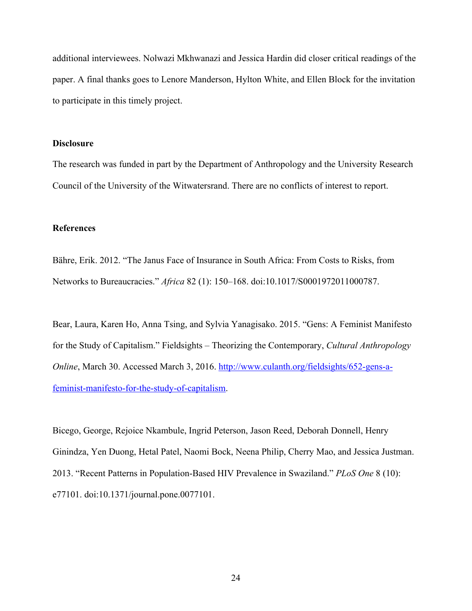additional interviewees. Nolwazi Mkhwanazi and Jessica Hardin did closer critical readings of the paper. A final thanks goes to Lenore Manderson, Hylton White, and Ellen Block for the invitation to participate in this timely project.

#### **Disclosure**

The research was funded in part by the Department of Anthropology and the University Research Council of the University of the Witwatersrand. There are no conflicts of interest to report.

## **References**

Bähre, Erik. 2012. "The Janus Face of Insurance in South Africa: From Costs to Risks, from Networks to Bureaucracies." *Africa* 82 (1): 150–168. doi:10.1017/S0001972011000787.

Bear, Laura, Karen Ho, Anna Tsing, and Sylvia Yanagisako. 2015. "Gens: A Feminist Manifesto for the Study of Capitalism." Fieldsights – Theorizing the Contemporary, *Cultural Anthropology Online*, March 30. Accessed March 3, 2016. http://www.culanth.org/fieldsights/652-gens-afeminist-manifesto-for-the-study-of-capitalism.

Bicego, George, Rejoice Nkambule, Ingrid Peterson, Jason Reed, Deborah Donnell, Henry Ginindza, Yen Duong, Hetal Patel, Naomi Bock, Neena Philip, Cherry Mao, and Jessica Justman. 2013. "Recent Patterns in Population-Based HIV Prevalence in Swaziland." *PLoS One* 8 (10): e77101. doi:10.1371/journal.pone.0077101.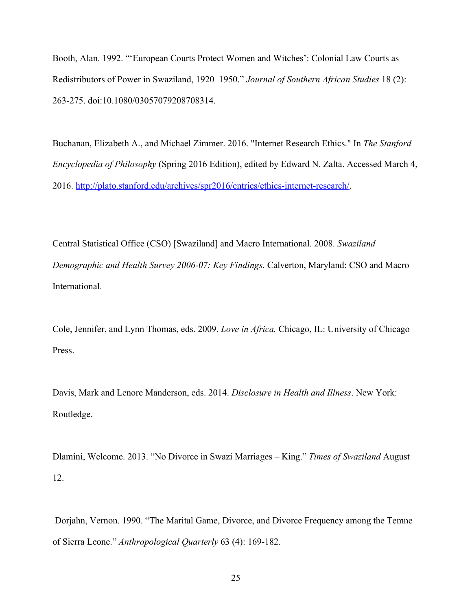Booth, Alan. 1992. "'European Courts Protect Women and Witches': Colonial Law Courts as Redistributors of Power in Swaziland, 1920–1950." *Journal of Southern African Studies* 18 (2): 263-275. doi:10.1080/03057079208708314.

Buchanan, Elizabeth A., and Michael Zimmer. 2016. "Internet Research Ethics." In *The Stanford Encyclopedia of Philosophy* (Spring 2016 Edition), edited by Edward N. Zalta. Accessed March 4, 2016. http://plato.stanford.edu/archives/spr2016/entries/ethics-internet-research/.

Central Statistical Office (CSO) [Swaziland] and Macro International. 2008. *Swaziland Demographic and Health Survey 2006-07: Key Findings*. Calverton, Maryland: CSO and Macro International.

Cole, Jennifer, and Lynn Thomas, eds. 2009. *Love in Africa.* Chicago, IL: University of Chicago Press.

Davis, Mark and Lenore Manderson, eds. 2014. *Disclosure in Health and Illness*. New York: Routledge.

Dlamini, Welcome. 2013. "No Divorce in Swazi Marriages – King." *Times of Swaziland* August 12.

Dorjahn, Vernon. 1990. "The Marital Game, Divorce, and Divorce Frequency among the Temne of Sierra Leone." *Anthropological Quarterly* 63 (4): 169-182.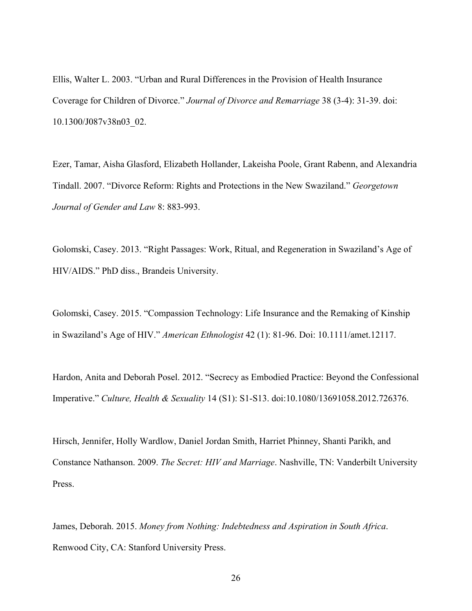Ellis, Walter L. 2003. "Urban and Rural Differences in the Provision of Health Insurance Coverage for Children of Divorce." *Journal of Divorce and Remarriage* 38 (3-4): 31-39. doi: 10.1300/J087v38n03\_02.

Ezer, Tamar, Aisha Glasford, Elizabeth Hollander, Lakeisha Poole, Grant Rabenn, and Alexandria Tindall. 2007. "Divorce Reform: Rights and Protections in the New Swaziland." *Georgetown Journal of Gender and Law* 8: 883-993.

Golomski, Casey. 2013. "Right Passages: Work, Ritual, and Regeneration in Swaziland's Age of HIV/AIDS." PhD diss., Brandeis University.

Golomski, Casey. 2015. "Compassion Technology: Life Insurance and the Remaking of Kinship in Swaziland's Age of HIV." *American Ethnologist* 42 (1): 81-96. Doi: 10.1111/amet.12117.

Hardon, Anita and Deborah Posel. 2012. "Secrecy as Embodied Practice: Beyond the Confessional Imperative." *Culture, Health & Sexuality* 14 (S1): S1-S13. doi:10.1080/13691058.2012.726376.

Hirsch, Jennifer, Holly Wardlow, Daniel Jordan Smith, Harriet Phinney, Shanti Parikh, and Constance Nathanson. 2009. *The Secret: HIV and Marriage*. Nashville, TN: Vanderbilt University Press.

James, Deborah. 2015. *Money from Nothing: Indebtedness and Aspiration in South Africa*. Renwood City, CA: Stanford University Press.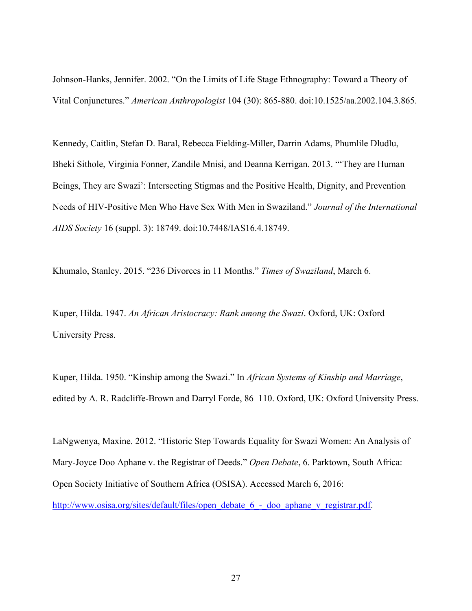Johnson-Hanks, Jennifer. 2002. "On the Limits of Life Stage Ethnography: Toward a Theory of Vital Conjunctures." *American Anthropologist* 104 (30): 865-880. doi:10.1525/aa.2002.104.3.865.

Kennedy, Caitlin, Stefan D. Baral, Rebecca Fielding-Miller, Darrin Adams, Phumlile Dludlu, Bheki Sithole, Virginia Fonner, Zandile Mnisi, and Deanna Kerrigan. 2013. "'They are Human Beings, They are Swazi': Intersecting Stigmas and the Positive Health, Dignity, and Prevention Needs of HIV-Positive Men Who Have Sex With Men in Swaziland." *Journal of the International AIDS Society* 16 (suppl. 3): 18749. doi:10.7448/IAS16.4.18749.

Khumalo, Stanley. 2015. "236 Divorces in 11 Months." *Times of Swaziland*, March 6.

Kuper, Hilda. 1947. *An African Aristocracy: Rank among the Swazi*. Oxford, UK: Oxford University Press.

Kuper, Hilda. 1950. "Kinship among the Swazi." In *African Systems of Kinship and Marriage*, edited by A. R. Radcliffe-Brown and Darryl Forde, 86–110. Oxford, UK: Oxford University Press.

LaNgwenya, Maxine. 2012. "Historic Step Towards Equality for Swazi Women: An Analysis of Mary-Joyce Doo Aphane v. the Registrar of Deeds." *Open Debate*, 6. Parktown, South Africa: Open Society Initiative of Southern Africa (OSISA). Accessed March 6, 2016: http://www.osisa.org/sites/default/files/open\_debate\_6\_-\_doo\_aphane\_v\_registrar.pdf.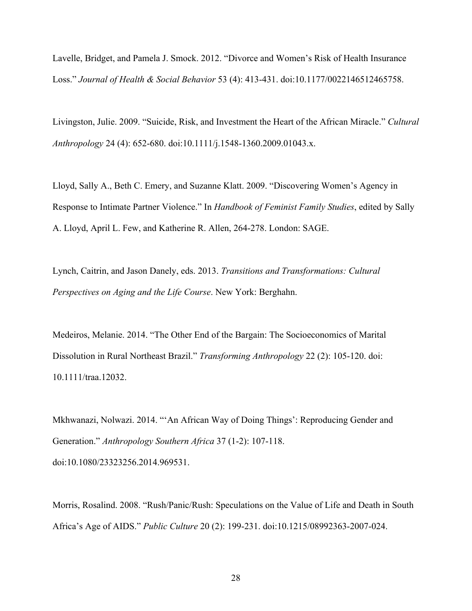Lavelle, Bridget, and Pamela J. Smock. 2012. "Divorce and Women's Risk of Health Insurance Loss." *Journal of Health & Social Behavior* 53 (4): 413-431. doi:10.1177/0022146512465758.

Livingston, Julie. 2009. "Suicide, Risk, and Investment the Heart of the African Miracle." *Cultural Anthropology* 24 (4): 652-680. doi:10.1111/j.1548-1360.2009.01043.x.

Lloyd, Sally A., Beth C. Emery, and Suzanne Klatt. 2009. "Discovering Women's Agency in Response to Intimate Partner Violence." In *Handbook of Feminist Family Studies*, edited by Sally A. Lloyd, April L. Few, and Katherine R. Allen, 264-278. London: SAGE.

Lynch, Caitrin, and Jason Danely, eds. 2013. *Transitions and Transformations: Cultural Perspectives on Aging and the Life Course*. New York: Berghahn.

Medeiros, Melanie. 2014. "The Other End of the Bargain: The Socioeconomics of Marital Dissolution in Rural Northeast Brazil." *Transforming Anthropology* 22 (2): 105-120. doi: 10.1111/traa.12032.

Mkhwanazi, Nolwazi. 2014. "'An African Way of Doing Things': Reproducing Gender and Generation." *Anthropology Southern Africa* 37 (1-2): 107-118. doi:10.1080/23323256.2014.969531.

Morris, Rosalind. 2008. "Rush/Panic/Rush: Speculations on the Value of Life and Death in South Africa's Age of AIDS." *Public Culture* 20 (2): 199-231. doi:10.1215/08992363-2007-024.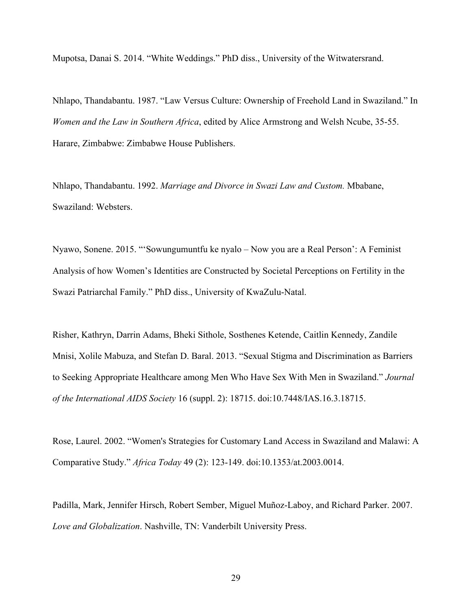Mupotsa, Danai S. 2014. "White Weddings." PhD diss., University of the Witwatersrand.

Nhlapo, Thandabantu. 1987. "Law Versus Culture: Ownership of Freehold Land in Swaziland." In *Women and the Law in Southern Africa*, edited by Alice Armstrong and Welsh Ncube, 35-55. Harare, Zimbabwe: Zimbabwe House Publishers.

Nhlapo, Thandabantu. 1992. *Marriage and Divorce in Swazi Law and Custom.* Mbabane, Swaziland: Websters.

Nyawo, Sonene. 2015. "'Sowungumuntfu ke nyalo – Now you are a Real Person': A Feminist Analysis of how Women's Identities are Constructed by Societal Perceptions on Fertility in the Swazi Patriarchal Family." PhD diss., University of KwaZulu-Natal.

Risher, Kathryn, Darrin Adams, Bheki Sithole, Sosthenes Ketende, Caitlin Kennedy, Zandile Mnisi, Xolile Mabuza, and Stefan D. Baral. 2013. "Sexual Stigma and Discrimination as Barriers to Seeking Appropriate Healthcare among Men Who Have Sex With Men in Swaziland." *Journal of the International AIDS Society* 16 (suppl. 2): 18715. doi:10.7448/IAS.16.3.18715.

Rose, Laurel. 2002. "Women's Strategies for Customary Land Access in Swaziland and Malawi: A Comparative Study." *Africa Today* 49 (2): 123-149. doi:10.1353/at.2003.0014.

Padilla, Mark, Jennifer Hirsch, Robert Sember, Miguel Muñoz-Laboy, and Richard Parker. 2007. *Love and Globalization*. Nashville, TN: Vanderbilt University Press.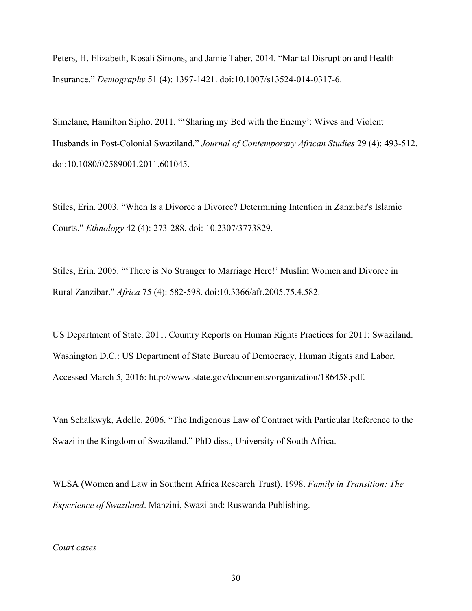Peters, H. Elizabeth, Kosali Simons, and Jamie Taber. 2014. "Marital Disruption and Health Insurance." *Demography* 51 (4): 1397-1421. doi:10.1007/s13524-014-0317-6.

Simelane, Hamilton Sipho. 2011. "'Sharing my Bed with the Enemy': Wives and Violent Husbands in Post-Colonial Swaziland." *Journal of Contemporary African Studies* 29 (4): 493-512. doi:10.1080/02589001.2011.601045.

Stiles, Erin. 2003. "When Is a Divorce a Divorce? Determining Intention in Zanzibar's Islamic Courts." *Ethnology* 42 (4): 273-288. doi: 10.2307/3773829.

Stiles, Erin. 2005. "'There is No Stranger to Marriage Here!' Muslim Women and Divorce in Rural Zanzibar." *Africa* 75 (4): 582-598. doi:10.3366/afr.2005.75.4.582.

US Department of State. 2011. Country Reports on Human Rights Practices for 2011: Swaziland. Washington D.C.: US Department of State Bureau of Democracy, Human Rights and Labor. Accessed March 5, 2016: http://www.state.gov/documents/organization/186458.pdf.

Van Schalkwyk, Adelle. 2006. "The Indigenous Law of Contract with Particular Reference to the Swazi in the Kingdom of Swaziland." PhD diss., University of South Africa.

WLSA (Women and Law in Southern Africa Research Trust). 1998. *Family in Transition: The Experience of Swaziland*. Manzini, Swaziland: Ruswanda Publishing.

# *Court cases*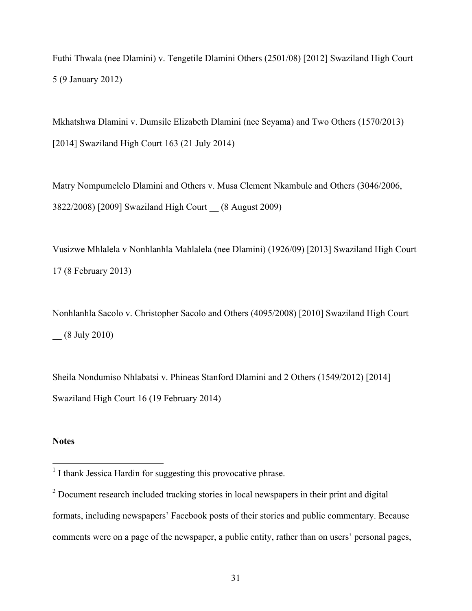Futhi Thwala (nee Dlamini) v. Tengetile Dlamini Others (2501/08) [2012] Swaziland High Court 5 (9 January 2012)

Mkhatshwa Dlamini v. Dumsile Elizabeth Dlamini (nee Seyama) and Two Others (1570/2013) [2014] Swaziland High Court 163 (21 July 2014)

Matry Nompumelelo Dlamini and Others v. Musa Clement Nkambule and Others (3046/2006, 3822/2008) [2009] Swaziland High Court \_\_ (8 August 2009)

Vusizwe Mhlalela v Nonhlanhla Mahlalela (nee Dlamini) (1926/09) [2013] Swaziland High Court 17 (8 February 2013)

Nonhlanhla Sacolo v. Christopher Sacolo and Others (4095/2008) [2010] Swaziland High Court  $(8 \text{ July } 2010)$ 

Sheila Nondumiso Nhlabatsi v. Phineas Stanford Dlamini and 2 Others (1549/2012) [2014] Swaziland High Court 16 (19 February 2014)

# **Notes**

<sup>&</sup>lt;sup>1</sup> I thank Jessica Hardin for suggesting this provocative phrase.

 $2^{2}$  Document research included tracking stories in local newspapers in their print and digital formats, including newspapers' Facebook posts of their stories and public commentary. Because comments were on a page of the newspaper, a public entity, rather than on users' personal pages,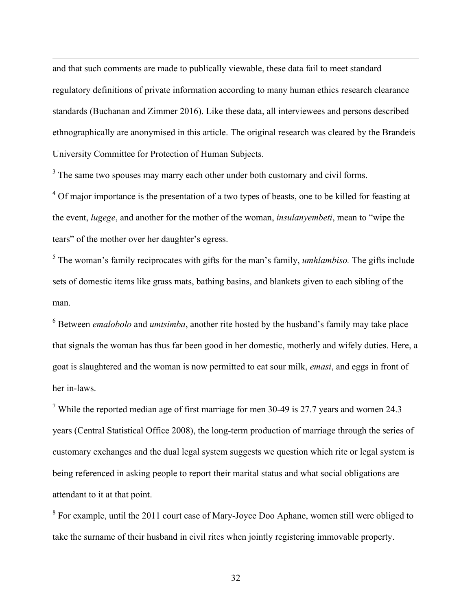and that such comments are made to publically viewable, these data fail to meet standard regulatory definitions of private information according to many human ethics research clearance standards (Buchanan and Zimmer 2016). Like these data, all interviewees and persons described ethnographically are anonymised in this article. The original research was cleared by the Brandeis University Committee for Protection of Human Subjects.

 $3$  The same two spouses may marry each other under both customary and civil forms.

 $\overline{a}$ 

<sup>4</sup> Of major importance is the presentation of a two types of beasts, one to be killed for feasting at the event, *lugege*, and another for the mother of the woman, *insulanyembeti*, mean to "wipe the tears" of the mother over her daughter's egress.

<sup>5</sup> The woman's family reciprocates with gifts for the man's family, *umhlambiso.* The gifts include sets of domestic items like grass mats, bathing basins, and blankets given to each sibling of the man.

6 Between *emalobolo* and *umtsimba*, another rite hosted by the husband's family may take place that signals the woman has thus far been good in her domestic, motherly and wifely duties. Here, a goat is slaughtered and the woman is now permitted to eat sour milk, *emasi*, and eggs in front of her in-laws.

<sup>7</sup> While the reported median age of first marriage for men 30-49 is 27.7 years and women 24.3 years (Central Statistical Office 2008), the long-term production of marriage through the series of customary exchanges and the dual legal system suggests we question which rite or legal system is being referenced in asking people to report their marital status and what social obligations are attendant to it at that point.

<sup>8</sup> For example, until the 2011 court case of Mary-Joyce Doo Aphane, women still were obliged to take the surname of their husband in civil rites when jointly registering immovable property.